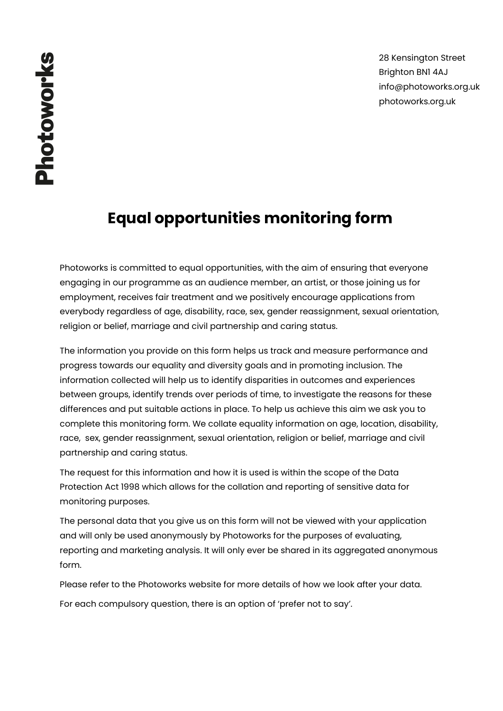28 Kensington Street Brighton BN1 4AJ info@photoworks.org.uk photoworks.org.uk

# **Photoworks**

# **Equal opportunities monitoring form**

Photoworks is committed to equal opportunities, with the aim of ensuring that everyone engaging in our programme as an audience member, an artist, or those joining us for employment, receives fair treatment and we positively encourage applications from everybody regardless of age, disability, race, sex, gender reassignment, sexual orientation, religion or belief, marriage and civil partnership and caring status.

The information you provide on this form helps us track and measure performance and progress towards our equality and diversity goals and in promoting inclusion. The information collected will help us to identify disparities in outcomes and experiences between groups, identify trends over periods of time, to investigate the reasons for these differences and put suitable actions in place. To help us achieve this aim we ask you to complete this monitoring form. We collate equality information on age, location, disability, race, sex, gender reassignment, sexual orientation, religion or belief, marriage and civil partnership and caring status.

The request for this information and how it is used is within the scope of the Data Protection Act 1998 which allows for the collation and reporting of sensitive data for monitoring purposes.

The personal data that you give us on this form will not be viewed with your application and will only be used anonymously by Photoworks for the purposes of evaluating, reporting and marketing analysis. It will only ever be shared in its aggregated anonymous form.

Please refer to the Photoworks website for more details of how we look after your data.

For each compulsory question, there is an option of 'prefer not to say'.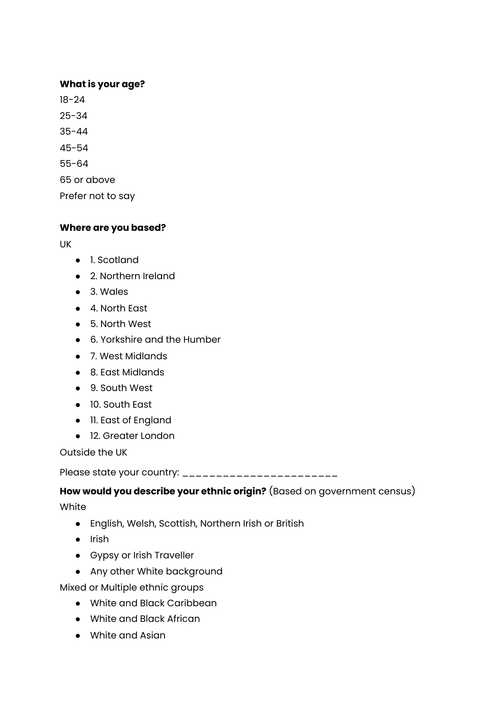#### **What is your age?**

18-24 25-34 35-44 45-54 55-64 65 or above

Prefer not to say

**Where are you based?**

UK

- 1. Scotland
- 2. Northern Ireland
- 3. Wales
- 4. North East
- 5. North West
- 6. Yorkshire and the Humber
- 7. West Midlands
- 8. East Midlands
- 9. South West
- 10. South East
- 11. East of England
- 12. Greater London

Outside the UK

Please state your country: \_\_\_\_\_\_\_\_\_\_\_\_\_\_\_\_\_\_\_\_\_\_\_

# **How would you describe your ethnic origin?** (Based on government census)

White

- English, Welsh, Scottish, Northern Irish or British
- Irish
- Gypsy or Irish Traveller
- Any other White background

Mixed or Multiple ethnic groups

- White and Black Caribbean
- White and Black African
- White and Asian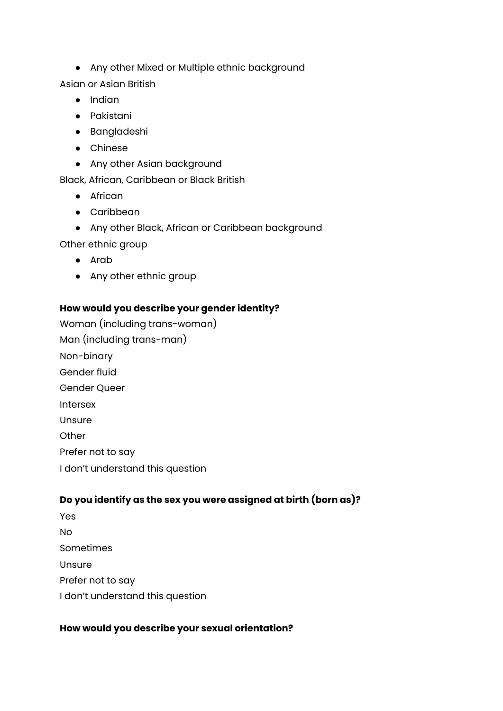● Any other Mixed or Multiple ethnic background

Asian or Asian British

- Indian
- Pakistani
- Bangladeshi
- Chinese
- Any other Asian background

Black, African, Caribbean or Black British

- African
- Caribbean
- Any other Black, African or Caribbean background

Other ethnic group

- Arab
- Any other ethnic group

# **How would you describe your gender identity?**

Woman (including trans-woman) Man (including trans-man) Non-binary Gender fluid Gender Queer Intersex Unsure **Other** Prefer not to say I don't understand this question

# **Do you identify as the sex you were assigned at birth (born as)?**

| Yes                              |
|----------------------------------|
| No.                              |
| Sometimes                        |
| Unsure                           |
| Prefer not to say                |
| I don't understand this question |

#### **How would you describe your sexual orientation?**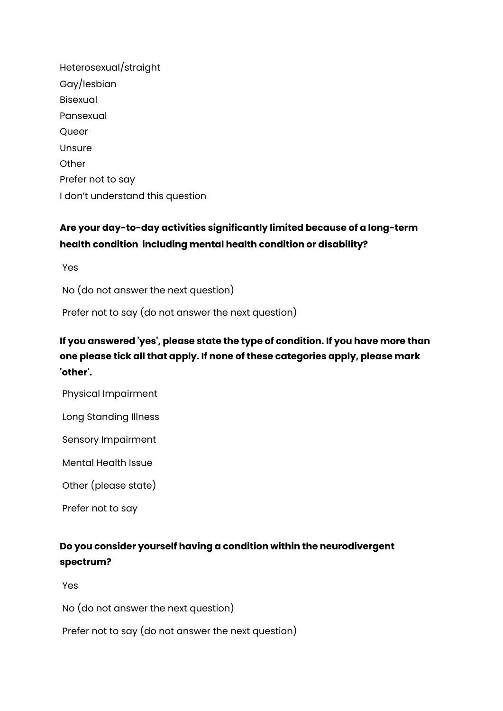Heterosexual/straight Gay/lesbian Bisexual Pansexual Queer Unsure **Other** Prefer not to say I don't understand this question

# **Are your day-to-day activities significantly limited because of a long-term health condition including mental health condition or disability?**

Yes

No (do not answer the next question)

Prefer not to say (do not answer the next question)

# **If you answered 'yes', please state the type of condition. If you have more than one please tick all that apply. If none of these categories apply, please mark 'other'.**

Physical Impairment

Long Standing Illness

Sensory Impairment

Mental Health Issue

Other (please state)

Prefer not to say

# **Do you consider yourself having a condition within the neurodivergent spectrum?**

Yes

No (do not answer the next question)

Prefer not to say (do not answer the next question)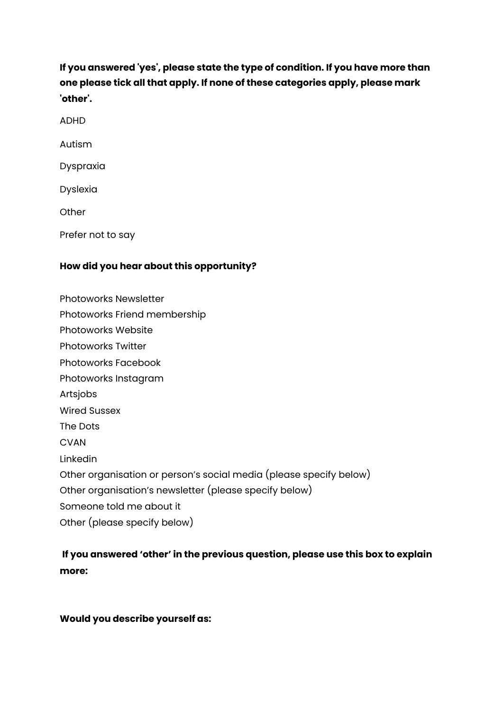**If you answered 'yes', please state the type of condition. If you have more than one please tick all that apply. If none of these categories apply, please mark 'other'.**

ADHD

Autism

Dyspraxia

Dyslexia

**Other** 

Prefer not to say

# **How did you hear about this opportunity?**

Photoworks Newsletter

Photoworks Friend membership

Photoworks Website

Photoworks Twitter

Photoworks Facebook

Photoworks Instagram

Artsjobs

Wired Sussex

The Dots

CVAN

Linkedin

Other organisation or person's social media (please specify below)

Other organisation's newsletter (please specify below)

Someone told me about it

Other (please specify below)

# **If you answered 'other' in the previous question, please use this box to explain more:**

# **Would you describe yourself as:**